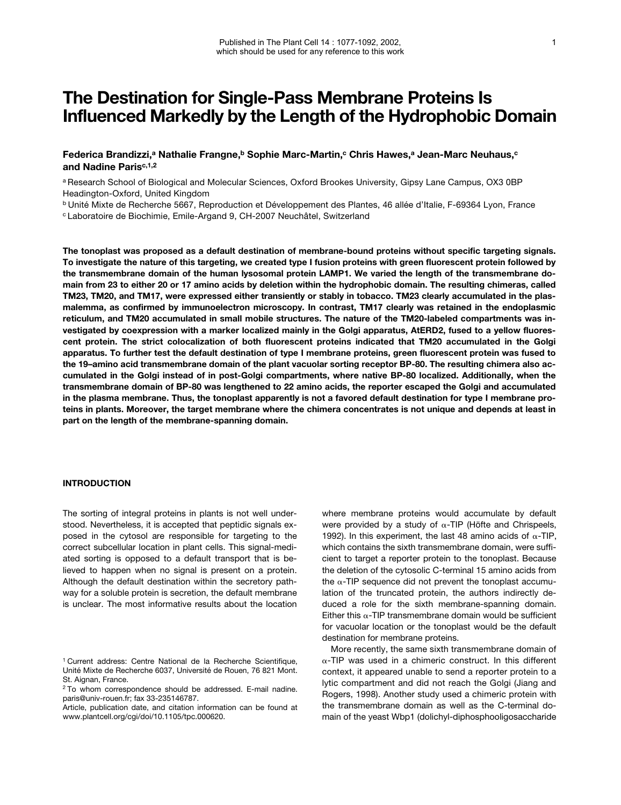# **The Destination for Single-Pass Membrane Proteins Is Influenced Markedly by the Length of the Hydrophobic Domain**

Federica Brandizzi,<sup>a</sup> Nathalie Frangne,<sup>b</sup> Sophie Marc-Martin,<sup>c</sup> Chris Hawes,<sup>a</sup> Jean-Marc Neuhaus,<sup>c</sup> and Nadine Paris<sup>c, 1,2</sup>

<sup>a</sup> Research School of Biological and Molecular Sciences, Oxford Brookes University, Gipsy Lane Campus, OX3 0BP Headington-Oxford, United Kingdom

<sup>b</sup> Unité Mixte de Recherche 5667, Reproduction et Développement des Plantes, 46 allée d'Italie, F-69364 Lyon, France <sup>c</sup> Laboratoire de Biochimie, Emile-Argand 9, CH-2007 Neuchâtel, Switzerland

**The tonoplast was proposed as a default destination of membrane-bound proteins without specific targeting signals. To investigate the nature of this targeting, we created type I fusion proteins with green fluorescent protein followed by the transmembrane domain of the human lysosomal protein LAMP1. We varied the length of the transmembrane domain from 23 to either 20 or 17 amino acids by deletion within the hydrophobic domain. The resulting chimeras, called TM23, TM20, and TM17, were expressed either transiently or stably in tobacco. TM23 clearly accumulated in the plasmalemma, as confirmed by immunoelectron microscopy. In contrast, TM17 clearly was retained in the endoplasmic reticulum, and TM20 accumulated in small mobile structures. The nature of the TM20-labeled compartments was investigated by coexpression with a marker localized mainly in the Golgi apparatus, AtERD2, fused to a yellow fluorescent protein. The strict colocalization of both fluorescent proteins indicated that TM20 accumulated in the Golgi apparatus. To further test the default destination of type I membrane proteins, green fluorescent protein was fused to the 19–amino acid transmembrane domain of the plant vacuolar sorting receptor BP-80. The resulting chimera also accumulated in the Golgi instead of in post-Golgi compartments, where native BP-80 localized. Additionally, when the transmembrane domain of BP-80 was lengthened to 22 amino acids, the reporter escaped the Golgi and accumulated in the plasma membrane. Thus, the tonoplast apparently is not a favored default destination for type I membrane proteins in plants. Moreover, the target membrane where the chimera concentrates is not unique and depends at least in part on the length of the membrane-spanning domain.**

## **INTRODUCTION**

The sorting of integral proteins in plants is not well understood. Nevertheless, it is accepted that peptidic signals exposed in the cytosol are responsible for targeting to the correct subcellular location in plant cells. This signal-mediated sorting is opposed to a default transport that is believed to happen when no signal is present on a protein. Although the default destination within the secretory pathway for a soluble protein is secretion, the default membrane is unclear. The most informative results about the location where membrane proteins would accumulate by default were provided by a study of  $\alpha$ -TIP (Höfte and Chrispeels, 1992). In this experiment, the last 48 amino acids of  $\alpha$ -TIP, which contains the sixth transmembrane domain, were sufficient to target a reporter protein to the tonoplast. Because the deletion of the cytosolic C-terminal 15 amino acids from the  $\alpha$ -TIP sequence did not prevent the tonoplast accumulation of the truncated protein, the authors indirectly deduced a role for the sixth membrane-spanning domain. Either this  $\alpha$ -TIP transmembrane domain would be sufficient for vacuolar location or the tonoplast would be the default destination for membrane proteins.

More recently, the same sixth transmembrane domain of  $\alpha$ -TIP was used in a chimeric construct. In this different context, it appeared unable to send a reporter protein to a lytic compartment and did not reach the Golgi (Jiang and Rogers, 1998). Another study used a chimeric protein with the transmembrane domain as well as the C-terminal domain of the yeast Wbp1 (dolichyl-diphosphooligosaccharide

<sup>&</sup>lt;sup>1</sup> Current address: Centre National de la Recherche Scientifique, Unité Mixte de Recherche 6037, Université de Rouen, 76 821 Mont. St. Aignan, France.

<sup>&</sup>lt;sup>2</sup> To whom correspondence should be addressed. E-mail nadine. paris@univ-rouen.fr; fax 33-235146787.

Article, publication date, and citation information can be found at www.plantcell.org/cgi/doi/10.1105/tpc.000620.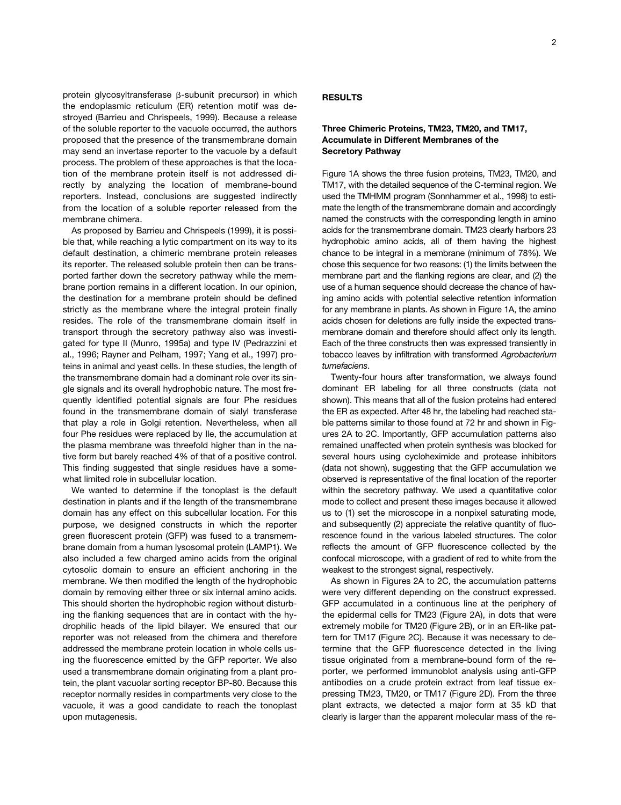protein glycosyltransferase  $\beta$ -subunit precursor) in which the endoplasmic reticulum (ER) retention motif was destroyed (Barrieu and Chrispeels, 1999). Because a release of the soluble reporter to the vacuole occurred, the authors proposed that the presence of the transmembrane domain may send an invertase reporter to the vacuole by a default process. The problem of these approaches is that the location of the membrane protein itself is not addressed directly by analyzing the location of membrane-bound reporters. Instead, conclusions are suggested indirectly from the location of a soluble reporter released from the membrane chimera.

As proposed by Barrieu and Chrispeels (1999), it is possible that, while reaching a lytic compartment on its way to its default destination, a chimeric membrane protein releases its reporter. The released soluble protein then can be transported farther down the secretory pathway while the membrane portion remains in a different location. In our opinion, the destination for a membrane protein should be defined strictly as the membrane where the integral protein finally resides. The role of the transmembrane domain itself in transport through the secretory pathway also was investigated for type II (Munro, 1995a) and type IV (Pedrazzini et al., 1996; Rayner and Pelham, 1997; Yang et al., 1997) proteins in animal and yeast cells. In these studies, the length of the transmembrane domain had a dominant role over its single signals and its overall hydrophobic nature. The most frequently identified potential signals are four Phe residues found in the transmembrane domain of sialyl transferase that play a role in Golgi retention. Nevertheless, when all four Phe residues were replaced by Ile, the accumulation at the plasma membrane was threefold higher than in the native form but barely reached 4% of that of a positive control. This finding suggested that single residues have a somewhat limited role in subcellular location.

We wanted to determine if the tonoplast is the default destination in plants and if the length of the transmembrane domain has any effect on this subcellular location. For this purpose, we designed constructs in which the reporter green fluorescent protein (GFP) was fused to a transmembrane domain from a human lysosomal protein (LAMP1). We also included a few charged amino acids from the original cytosolic domain to ensure an efficient anchoring in the membrane. We then modified the length of the hydrophobic domain by removing either three or six internal amino acids. This should shorten the hydrophobic region without disturbing the flanking sequences that are in contact with the hydrophilic heads of the lipid bilayer. We ensured that our reporter was not released from the chimera and therefore addressed the membrane protein location in whole cells using the fluorescence emitted by the GFP reporter. We also used a transmembrane domain originating from a plant protein, the plant vacuolar sorting receptor BP-80. Because this receptor normally resides in compartments very close to the vacuole, it was a good candidate to reach the tonoplast upon mutagenesis.

## **RESULTS**

# **Three Chimeric Proteins, TM23, TM20, and TM17, Accumulate in Different Membranes of the Secretory Pathway**

Figure 1A shows the three fusion proteins, TM23, TM20, and TM17, with the detailed sequence of the C-terminal region. We used the TMHMM program (Sonnhammer et al., 1998) to estimate the length of the transmembrane domain and accordingly named the constructs with the corresponding length in amino acids for the transmembrane domain. TM23 clearly harbors 23 hydrophobic amino acids, all of them having the highest chance to be integral in a membrane (minimum of 78%). We chose this sequence for two reasons: (1) the limits between the membrane part and the flanking regions are clear, and (2) the use of a human sequence should decrease the chance of having amino acids with potential selective retention information for any membrane in plants. As shown in Figure 1A, the amino acids chosen for deletions are fully inside the expected transmembrane domain and therefore should affect only its length. Each of the three constructs then was expressed transiently in tobacco leaves by infiltration with transformed *Agrobacterium tumefaciens*.

Twenty-four hours after transformation, we always found dominant ER labeling for all three constructs (data not shown). This means that all of the fusion proteins had entered the ER as expected. After 48 hr, the labeling had reached stable patterns similar to those found at 72 hr and shown in Figures 2A to 2C. Importantly, GFP accumulation patterns also remained unaffected when protein synthesis was blocked for several hours using cycloheximide and protease inhibitors (data not shown), suggesting that the GFP accumulation we observed is representative of the final location of the reporter within the secretory pathway. We used a quantitative color mode to collect and present these images because it allowed us to (1) set the microscope in a nonpixel saturating mode, and subsequently (2) appreciate the relative quantity of fluorescence found in the various labeled structures. The color reflects the amount of GFP fluorescence collected by the confocal microscope, with a gradient of red to white from the weakest to the strongest signal, respectively.

As shown in Figures 2A to 2C, the accumulation patterns were very different depending on the construct expressed. GFP accumulated in a continuous line at the periphery of the epidermal cells for TM23 (Figure 2A), in dots that were extremely mobile for TM20 (Figure 2B), or in an ER-like pattern for TM17 (Figure 2C). Because it was necessary to determine that the GFP fluorescence detected in the living tissue originated from a membrane-bound form of the reporter, we performed immunoblot analysis using anti-GFP antibodies on a crude protein extract from leaf tissue expressing TM23, TM20, or TM17 (Figure 2D). From the three plant extracts, we detected a major form at 35 kD that clearly is larger than the apparent molecular mass of the re-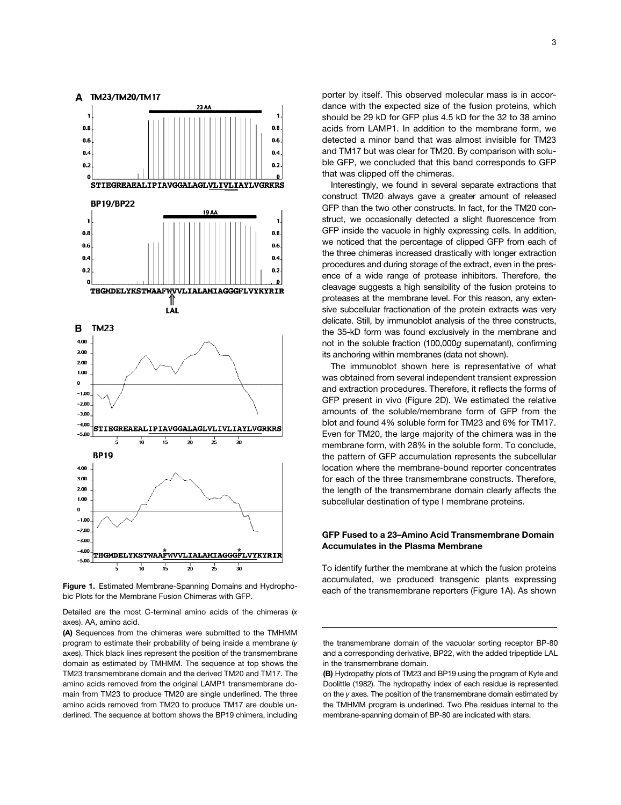

bic Plots for the Membrane Fusion Chimeras with GFP.

Detailed are the most C-terminal amino acids of the chimeras (*x* axes). AA, amino acid.

**(A)** Sequences from the chimeras were submitted to the TMHMM program to estimate their probability of being inside a membrane (*y* axes). Thick black lines represent the position of the transmembrane domain as estimated by TMHMM. The sequence at top shows the TM23 transmembrane domain and the derived TM20 and TM17. The amino acids removed from the original LAMP1 transmembrane domain from TM23 to produce TM20 are single underlined. The three amino acids removed from TM20 to produce TM17 are double underlined. The sequence at bottom shows the BP19 chimera, including

porter by itself. This observed molecular mass is in accordance with the expected size of the fusion proteins, which should be 29 kD for GFP plus 4.5 kD for the 32 to 38 amino acids from LAMP1. In addition to the membrane form, we detected a minor band that was almost invisible for TM23 and TM17 but was clear for TM20. By comparison with soluble GFP, we concluded that this band corresponds to GFP that was clipped off the chimeras.

Interestingly, we found in several separate extractions that construct TM20 always gave a greater amount of released GFP than the two other constructs. In fact, for the TM20 construct, we occasionally detected a slight fluorescence from GFP inside the vacuole in highly expressing cells. In addition, we noticed that the percentage of clipped GFP from each of the three chimeras increased drastically with longer extraction procedures and during storage of the extract, even in the presence of a wide range of protease inhibitors. Therefore, the cleavage suggests a high sensibility of the fusion proteins to proteases at the membrane level. For this reason, any extensive subcellular fractionation of the protein extracts was very delicate. Still, by immunoblot analysis of the three constructs, the 35-kD form was found exclusively in the membrane and not in the soluble fraction (100,000*g* supernatant), confirming its anchoring within membranes (data not shown).

The immunoblot shown here is representative of what was obtained from several independent transient expression and extraction procedures. Therefore, it reflects the forms of GFP present in vivo (Figure 2D). We estimated the relative amounts of the soluble/membrane form of GFP from the blot and found 4% soluble form for TM23 and 6% for TM17. Even for TM20, the large majority of the chimera was in the membrane form, with 28% in the soluble form. To conclude, the pattern of GFP accumulation represents the subcellular location where the membrane-bound reporter concentrates for each of the three transmembrane constructs. Therefore, the length of the transmembrane domain clearly affects the subcellular destination of type I membrane proteins.

## **GFP Fused to a 23–Amino Acid Transmembrane Domain Accumulates in the Plasma Membrane**

To identify further the membrane at which the fusion proteins accumulated, we produced transgenic plants expressing Figure 1. Estimated Membrane-Spanning Domains and Hydropho-<br>Figure 1. Estimated Membrane-Spanning Domains and Hydropho-<br>Figure 1A). As shown

the transmembrane domain of the vacuolar sorting receptor BP-80 and a corresponding derivative, BP22, with the added tripeptide LAL in the transmembrane domain.

**<sup>(</sup>B)** Hydropathy plots of TM23 and BP19 using the program of Kyte and Doolittle (1982). The hydropathy index of each residue is represented on the *y* axes. The position of the transmembrane domain estimated by the TMHMM program is underlined. Two Phe residues internal to the membrane-spanning domain of BP-80 are indicated with stars.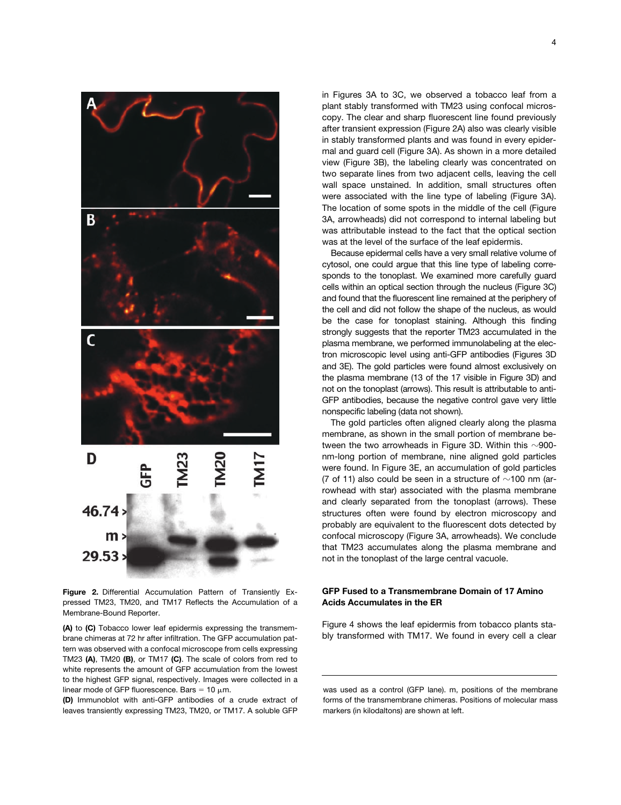

**Figure 2.** Differential Accumulation Pattern of Transiently Expressed TM23, TM20, and TM17 Reflects the Accumulation of a Membrane-Bound Reporter.

**(A)** to **(C)** Tobacco lower leaf epidermis expressing the transmembrane chimeras at 72 hr after infiltration. The GFP accumulation pattern was observed with a confocal microscope from cells expressing TM23 **(A)**, TM20 **(B)**, or TM17 **(C)**. The scale of colors from red to white represents the amount of GFP accumulation from the lowest to the highest GFP signal, respectively. Images were collected in a linear mode of GFP fluorescence. Bars =  $10 \mu m$ .

**(D)** Immunoblot with anti-GFP antibodies of a crude extract of leaves transiently expressing TM23, TM20, or TM17. A soluble GFP

in Figures 3A to 3C, we observed a tobacco leaf from a plant stably transformed with TM23 using confocal microscopy. The clear and sharp fluorescent line found previously after transient expression (Figure 2A) also was clearly visible in stably transformed plants and was found in every epidermal and guard cell (Figure 3A). As shown in a more detailed view (Figure 3B), the labeling clearly was concentrated on two separate lines from two adjacent cells, leaving the cell wall space unstained. In addition, small structures often were associated with the line type of labeling (Figure 3A). The location of some spots in the middle of the cell (Figure 3A, arrowheads) did not correspond to internal labeling but was attributable instead to the fact that the optical section was at the level of the surface of the leaf epidermis.

Because epidermal cells have a very small relative volume of cytosol, one could argue that this line type of labeling corresponds to the tonoplast. We examined more carefully guard cells within an optical section through the nucleus (Figure 3C) and found that the fluorescent line remained at the periphery of the cell and did not follow the shape of the nucleus, as would be the case for tonoplast staining. Although this finding strongly suggests that the reporter TM23 accumulated in the plasma membrane, we performed immunolabeling at the electron microscopic level using anti-GFP antibodies (Figures 3D and 3E). The gold particles were found almost exclusively on the plasma membrane (13 of the 17 visible in Figure 3D) and not on the tonoplast (arrows). This result is attributable to anti-GFP antibodies, because the negative control gave very little nonspecific labeling (data not shown).

The gold particles often aligned clearly along the plasma membrane, as shown in the small portion of membrane between the two arrowheads in Figure 3D. Within this  $\sim$ 900nm-long portion of membrane, nine aligned gold particles were found. In Figure 3E, an accumulation of gold particles (7 of 11) also could be seen in a structure of  $\sim$ 100 nm (arrowhead with star) associated with the plasma membrane and clearly separated from the tonoplast (arrows). These structures often were found by electron microscopy and probably are equivalent to the fluorescent dots detected by confocal microscopy (Figure 3A, arrowheads). We conclude that TM23 accumulates along the plasma membrane and not in the tonoplast of the large central vacuole.

## **GFP Fused to a Transmembrane Domain of 17 Amino Acids Accumulates in the ER**

Figure 4 shows the leaf epidermis from tobacco plants stably transformed with TM17. We found in every cell a clear

was used as a control (GFP lane). m, positions of the membrane forms of the transmembrane chimeras. Positions of molecular mass markers (in kilodaltons) are shown at left.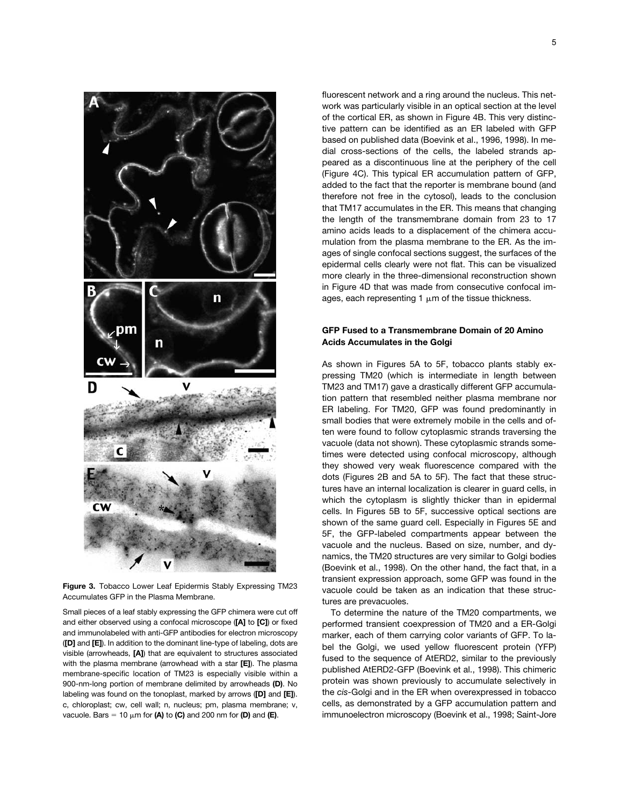

**Figure 3.** Tobacco Lower Leaf Epidermis Stably Expressing TM23 Accumulates GFP in the Plasma Membrane.

Small pieces of a leaf stably expressing the GFP chimera were cut off and either observed using a confocal microscope (**[A]** to **[C]**) or fixed and immunolabeled with anti-GFP antibodies for electron microscopy (**[D]** and **[E]**). In addition to the dominant line-type of labeling, dots are visible (arrowheads, **[A]**) that are equivalent to structures associated with the plasma membrane (arrowhead with a star **[E]**). The plasma membrane-specific location of TM23 is especially visible within a 900-nm-long portion of membrane delimited by arrowheads **(D)**. No labeling was found on the tonoplast, marked by arrows (**[D]** and **[E]**). c, chloroplast; cw, cell wall; n, nucleus; pm, plasma membrane; v, vacuole. Bars  $= 10 \mu m$  for **(A)** to **(C)** and 200 nm for **(D)** and **(E)**.

fluorescent network and a ring around the nucleus. This network was particularly visible in an optical section at the level of the cortical ER, as shown in Figure 4B. This very distinctive pattern can be identified as an ER labeled with GFP based on published data (Boevink et al., 1996, 1998). In medial cross-sections of the cells, the labeled strands appeared as a discontinuous line at the periphery of the cell (Figure 4C). This typical ER accumulation pattern of GFP, added to the fact that the reporter is membrane bound (and therefore not free in the cytosol), leads to the conclusion that TM17 accumulates in the ER. This means that changing the length of the transmembrane domain from 23 to 17 amino acids leads to a displacement of the chimera accumulation from the plasma membrane to the ER. As the images of single confocal sections suggest, the surfaces of the epidermal cells clearly were not flat. This can be visualized more clearly in the three-dimensional reconstruction shown in Figure 4D that was made from consecutive confocal images, each representing 1  $\mu$ m of the tissue thickness.

# **GFP Fused to a Transmembrane Domain of 20 Amino Acids Accumulates in the Golgi**

As shown in Figures 5A to 5F, tobacco plants stably expressing TM20 (which is intermediate in length between TM23 and TM17) gave a drastically different GFP accumulation pattern that resembled neither plasma membrane nor ER labeling. For TM20, GFP was found predominantly in small bodies that were extremely mobile in the cells and often were found to follow cytoplasmic strands traversing the vacuole (data not shown). These cytoplasmic strands sometimes were detected using confocal microscopy, although they showed very weak fluorescence compared with the dots (Figures 2B and 5A to 5F). The fact that these structures have an internal localization is clearer in guard cells, in which the cytoplasm is slightly thicker than in epidermal cells. In Figures 5B to 5F, successive optical sections are shown of the same guard cell. Especially in Figures 5E and 5F, the GFP-labeled compartments appear between the vacuole and the nucleus. Based on size, number, and dynamics, the TM20 structures are very similar to Golgi bodies (Boevink et al., 1998). On the other hand, the fact that, in a transient expression approach, some GFP was found in the vacuole could be taken as an indication that these structures are prevacuoles.

To determine the nature of the TM20 compartments, we performed transient coexpression of TM20 and a ER-Golgi marker, each of them carrying color variants of GFP. To label the Golgi, we used yellow fluorescent protein (YFP) fused to the sequence of AtERD2, similar to the previously published AtERD2-GFP (Boevink et al., 1998). This chimeric protein was shown previously to accumulate selectively in the *cis-*Golgi and in the ER when overexpressed in tobacco cells, as demonstrated by a GFP accumulation pattern and immunoelectron microscopy (Boevink et al., 1998; Saint-Jore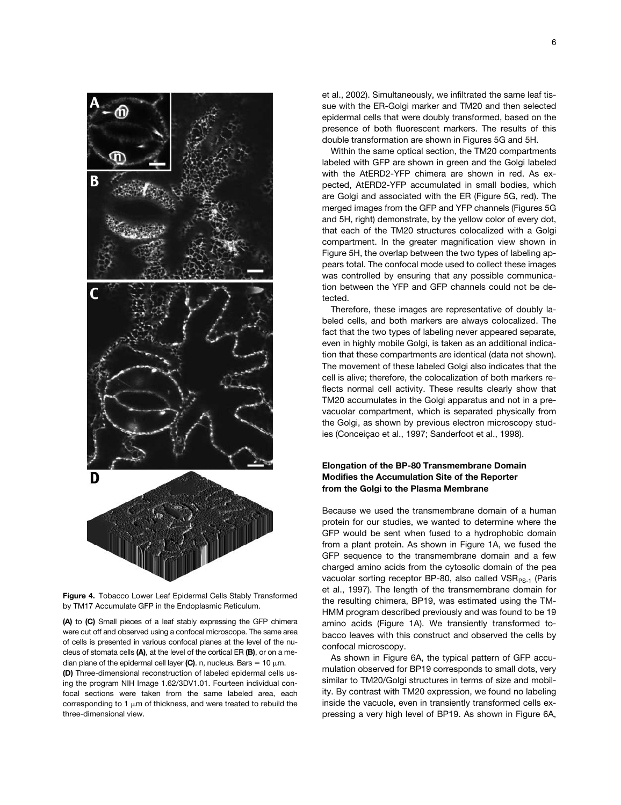

**Figure 4.** Tobacco Lower Leaf Epidermal Cells Stably Transformed by TM17 Accumulate GFP in the Endoplasmic Reticulum.

**(A)** to **(C)** Small pieces of a leaf stably expressing the GFP chimera were cut off and observed using a confocal microscope. The same area of cells is presented in various confocal planes at the level of the nucleus of stomata cells **(A)**, at the level of the cortical ER **(B)**, or on a median plane of the epidermal cell layer (C). n, nucleus. Bars  $= 10 \mu m$ . **(D)** Three-dimensional reconstruction of labeled epidermal cells using the program NIH Image 1.62/3DV1.01. Fourteen individual confocal sections were taken from the same labeled area, each corresponding to 1  $\mu$ m of thickness, and were treated to rebuild the three-dimensional view.

et al., 2002). Simultaneously, we infiltrated the same leaf tissue with the ER-Golgi marker and TM20 and then selected epidermal cells that were doubly transformed, based on the presence of both fluorescent markers. The results of this double transformation are shown in Figures 5G and 5H.

Within the same optical section, the TM20 compartments labeled with GFP are shown in green and the Golgi labeled with the AtERD2-YFP chimera are shown in red. As expected, AtERD2-YFP accumulated in small bodies, which are Golgi and associated with the ER (Figure 5G, red). The merged images from the GFP and YFP channels (Figures 5G and 5H, right) demonstrate, by the yellow color of every dot, that each of the TM20 structures colocalized with a Golgi compartment. In the greater magnification view shown in Figure 5H, the overlap between the two types of labeling appears total. The confocal mode used to collect these images was controlled by ensuring that any possible communication between the YFP and GFP channels could not be detected.

Therefore, these images are representative of doubly labeled cells, and both markers are always colocalized. The fact that the two types of labeling never appeared separate, even in highly mobile Golgi, is taken as an additional indication that these compartments are identical (data not shown). The movement of these labeled Golgi also indicates that the cell is alive; therefore, the colocalization of both markers reflects normal cell activity. These results clearly show that TM20 accumulates in the Golgi apparatus and not in a prevacuolar compartment, which is separated physically from the Golgi, as shown by previous electron microscopy studies (Conceiçao et al., 1997; Sanderfoot et al., 1998).

# **Elongation of the BP-80 Transmembrane Domain Modifies the Accumulation Site of the Reporter from the Golgi to the Plasma Membrane**

Because we used the transmembrane domain of a human protein for our studies, we wanted to determine where the GFP would be sent when fused to a hydrophobic domain from a plant protein. As shown in Figure 1A, we fused the GFP sequence to the transmembrane domain and a few charged amino acids from the cytosolic domain of the pea vacuolar sorting receptor BP-80, also called  $VSR_{PS-1}$  (Paris et al., 1997). The length of the transmembrane domain for the resulting chimera, BP19, was estimated using the TM-HMM program described previously and was found to be 19 amino acids (Figure 1A). We transiently transformed tobacco leaves with this construct and observed the cells by confocal microscopy.

As shown in Figure 6A, the typical pattern of GFP accumulation observed for BP19 corresponds to small dots, very similar to TM20/Golgi structures in terms of size and mobility. By contrast with TM20 expression, we found no labeling inside the vacuole, even in transiently transformed cells expressing a very high level of BP19. As shown in Figure 6A,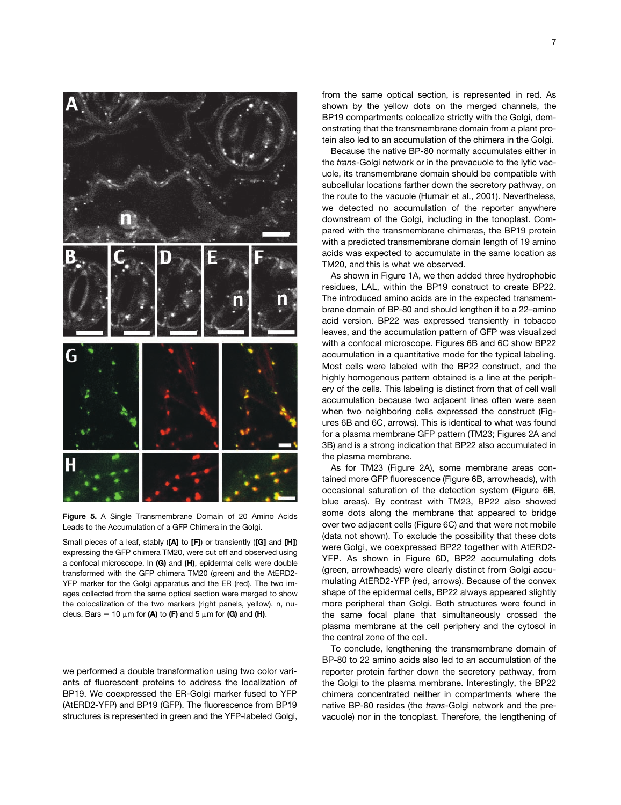

**Figure 5.** A Single Transmembrane Domain of 20 Amino Acids Leads to the Accumulation of a GFP Chimera in the Golgi.

Small pieces of a leaf, stably (**[A]** to **[F]**) or transiently (**[G]** and **[H]**) expressing the GFP chimera TM20, were cut off and observed using a confocal microscope. In **(G)** and **(H)**, epidermal cells were double transformed with the GFP chimera TM20 (green) and the AtERD2- YFP marker for the Golgi apparatus and the ER (red). The two images collected from the same optical section were merged to show the colocalization of the two markers (right panels, yellow). n, nucleus. Bars = 10  $\mu$ m for **(A)** to **(F)** and 5  $\mu$ m for **(G)** and **(H)**.

we performed a double transformation using two color variants of fluorescent proteins to address the localization of BP19. We coexpressed the ER-Golgi marker fused to YFP (AtERD2-YFP) and BP19 (GFP). The fluorescence from BP19 structures is represented in green and the YFP-labeled Golgi, from the same optical section, is represented in red. As shown by the yellow dots on the merged channels, the BP19 compartments colocalize strictly with the Golgi, demonstrating that the transmembrane domain from a plant protein also led to an accumulation of the chimera in the Golgi.

Because the native BP-80 normally accumulates either in the *trans*-Golgi network or in the prevacuole to the lytic vacuole, its transmembrane domain should be compatible with subcellular locations farther down the secretory pathway, on the route to the vacuole (Humair et al., 2001). Nevertheless, we detected no accumulation of the reporter anywhere downstream of the Golgi, including in the tonoplast. Compared with the transmembrane chimeras, the BP19 protein with a predicted transmembrane domain length of 19 amino acids was expected to accumulate in the same location as TM20, and this is what we observed.

As shown in Figure 1A, we then added three hydrophobic residues, LAL, within the BP19 construct to create BP22. The introduced amino acids are in the expected transmembrane domain of BP-80 and should lengthen it to a 22–amino acid version. BP22 was expressed transiently in tobacco leaves, and the accumulation pattern of GFP was visualized with a confocal microscope. Figures 6B and 6C show BP22 accumulation in a quantitative mode for the typical labeling. Most cells were labeled with the BP22 construct, and the highly homogenous pattern obtained is a line at the periphery of the cells. This labeling is distinct from that of cell wall accumulation because two adjacent lines often were seen when two neighboring cells expressed the construct (Figures 6B and 6C, arrows). This is identical to what was found for a plasma membrane GFP pattern (TM23; Figures 2A and 3B) and is a strong indication that BP22 also accumulated in the plasma membrane.

As for TM23 (Figure 2A), some membrane areas contained more GFP fluorescence (Figure 6B, arrowheads), with occasional saturation of the detection system (Figure 6B, blue areas). By contrast with TM23, BP22 also showed some dots along the membrane that appeared to bridge over two adjacent cells (Figure 6C) and that were not mobile (data not shown). To exclude the possibility that these dots were Golgi, we coexpressed BP22 together with AtERD2- YFP. As shown in Figure 6D, BP22 accumulating dots (green, arrowheads) were clearly distinct from Golgi accumulating AtERD2-YFP (red, arrows). Because of the convex shape of the epidermal cells, BP22 always appeared slightly more peripheral than Golgi. Both structures were found in the same focal plane that simultaneously crossed the plasma membrane at the cell periphery and the cytosol in the central zone of the cell.

To conclude, lengthening the transmembrane domain of BP-80 to 22 amino acids also led to an accumulation of the reporter protein farther down the secretory pathway, from the Golgi to the plasma membrane. Interestingly, the BP22 chimera concentrated neither in compartments where the native BP-80 resides (the *trans*-Golgi network and the prevacuole) nor in the tonoplast. Therefore, the lengthening of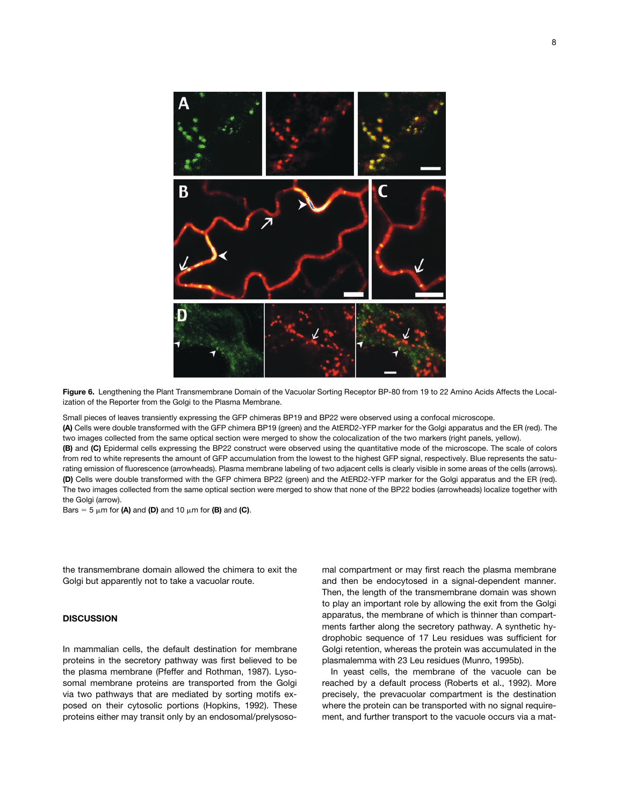

**Figure 6.** Lengthening the Plant Transmembrane Domain of the Vacuolar Sorting Receptor BP-80 from 19 to 22 Amino Acids Affects the Localization of the Reporter from the Golgi to the Plasma Membrane.

Small pieces of leaves transiently expressing the GFP chimeras BP19 and BP22 were observed using a confocal microscope.

**(A)** Cells were double transformed with the GFP chimera BP19 (green) and the AtERD2-YFP marker for the Golgi apparatus and the ER (red). The two images collected from the same optical section were merged to show the colocalization of the two markers (right panels, yellow).

**(B)** and **(C)** Epidermal cells expressing the BP22 construct were observed using the quantitative mode of the microscope. The scale of colors from red to white represents the amount of GFP accumulation from the lowest to the highest GFP signal, respectively. Blue represents the saturating emission of fluorescence (arrowheads). Plasma membrane labeling of two adjacent cells is clearly visible in some areas of the cells (arrows). **(D)** Cells were double transformed with the GFP chimera BP22 (green) and the AtERD2-YFP marker for the Golgi apparatus and the ER (red). The two images collected from the same optical section were merged to show that none of the BP22 bodies (arrowheads) localize together with the Golgi (arrow).

Bars =  $5 \mu m$  for **(A)** and **(D)** and 10  $\mu m$  for **(B)** and **(C)**.

the transmembrane domain allowed the chimera to exit the Golgi but apparently not to take a vacuolar route.

## **DISCUSSION**

In mammalian cells, the default destination for membrane proteins in the secretory pathway was first believed to be the plasma membrane (Pfeffer and Rothman, 1987). Lysosomal membrane proteins are transported from the Golgi via two pathways that are mediated by sorting motifs exposed on their cytosolic portions (Hopkins, 1992). These proteins either may transit only by an endosomal/prelysosomal compartment or may first reach the plasma membrane and then be endocytosed in a signal-dependent manner. Then, the length of the transmembrane domain was shown to play an important role by allowing the exit from the Golgi apparatus, the membrane of which is thinner than compartments farther along the secretory pathway. A synthetic hydrophobic sequence of 17 Leu residues was sufficient for Golgi retention, whereas the protein was accumulated in the plasmalemma with 23 Leu residues (Munro, 1995b).

In yeast cells, the membrane of the vacuole can be reached by a default process (Roberts et al., 1992). More precisely, the prevacuolar compartment is the destination where the protein can be transported with no signal requirement, and further transport to the vacuole occurs via a mat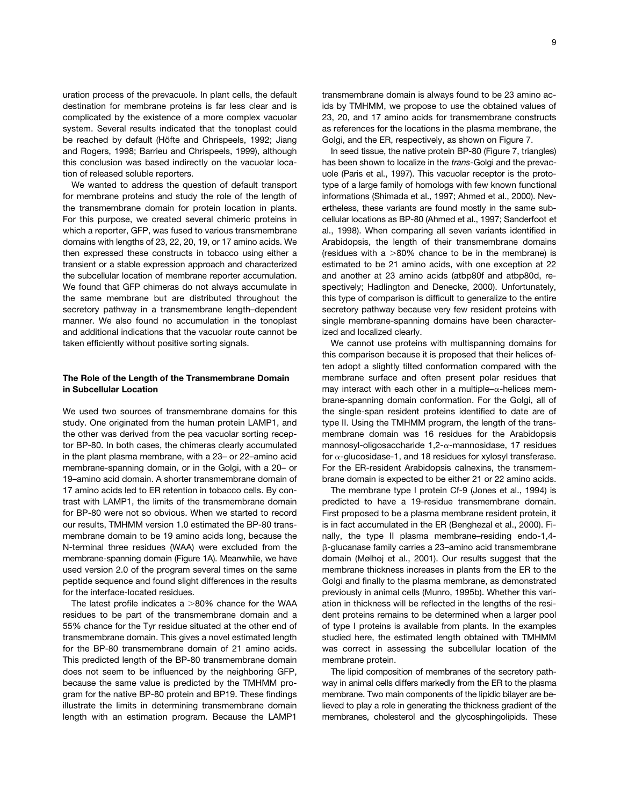uration process of the prevacuole. In plant cells, the default destination for membrane proteins is far less clear and is complicated by the existence of a more complex vacuolar system. Several results indicated that the tonoplast could be reached by default (Höfte and Chrispeels, 1992; Jiang and Rogers, 1998; Barrieu and Chrispeels, 1999), although this conclusion was based indirectly on the vacuolar location of released soluble reporters.

We wanted to address the question of default transport for membrane proteins and study the role of the length of the transmembrane domain for protein location in plants. For this purpose, we created several chimeric proteins in which a reporter, GFP, was fused to various transmembrane domains with lengths of 23, 22, 20, 19, or 17 amino acids. We then expressed these constructs in tobacco using either a transient or a stable expression approach and characterized the subcellular location of membrane reporter accumulation. We found that GFP chimeras do not always accumulate in the same membrane but are distributed throughout the secretory pathway in a transmembrane length–dependent manner. We also found no accumulation in the tonoplast and additional indications that the vacuolar route cannot be taken efficiently without positive sorting signals.

## **The Role of the Length of the Transmembrane Domain in Subcellular Location**

We used two sources of transmembrane domains for this study. One originated from the human protein LAMP1, and the other was derived from the pea vacuolar sorting receptor BP-80. In both cases, the chimeras clearly accumulated in the plant plasma membrane, with a 23– or 22–amino acid membrane-spanning domain, or in the Golgi, with a 20– or 19–amino acid domain. A shorter transmembrane domain of 17 amino acids led to ER retention in tobacco cells. By contrast with LAMP1, the limits of the transmembrane domain for BP-80 were not so obvious. When we started to record our results, TMHMM version 1.0 estimated the BP-80 transmembrane domain to be 19 amino acids long, because the N-terminal three residues (WAA) were excluded from the membrane-spanning domain (Figure 1A). Meanwhile, we have used version 2.0 of the program several times on the same peptide sequence and found slight differences in the results for the interface-located residues.

The latest profile indicates a  $>80\%$  chance for the WAA residues to be part of the transmembrane domain and a 55% chance for the Tyr residue situated at the other end of transmembrane domain. This gives a novel estimated length for the BP-80 transmembrane domain of 21 amino acids. This predicted length of the BP-80 transmembrane domain does not seem to be influenced by the neighboring GFP, because the same value is predicted by the TMHMM program for the native BP-80 protein and BP19. These findings illustrate the limits in determining transmembrane domain length with an estimation program. Because the LAMP1

transmembrane domain is always found to be 23 amino acids by TMHMM, we propose to use the obtained values of 23, 20, and 17 amino acids for transmembrane constructs as references for the locations in the plasma membrane, the Golgi, and the ER, respectively, as shown on Figure 7.

In seed tissue, the native protein BP-80 (Figure 7, triangles) has been shown to localize in the *trans*-Golgi and the prevacuole (Paris et al., 1997). This vacuolar receptor is the prototype of a large family of homologs with few known functional informations (Shimada et al., 1997; Ahmed et al., 2000). Nevertheless, these variants are found mostly in the same subcellular locations as BP-80 (Ahmed et al., 1997; Sanderfoot et al., 1998). When comparing all seven variants identified in Arabidopsis, the length of their transmembrane domains (residues with a  $>80\%$  chance to be in the membrane) is estimated to be 21 amino acids, with one exception at 22 and another at 23 amino acids (atbp80f and atbp80d, respectively; Hadlington and Denecke, 2000). Unfortunately, this type of comparison is difficult to generalize to the entire secretory pathway because very few resident proteins with single membrane-spanning domains have been characterized and localized clearly.

We cannot use proteins with multispanning domains for this comparison because it is proposed that their helices often adopt a slightly tilted conformation compared with the membrane surface and often present polar residues that may interact with each other in a multiple- $\alpha$ -helices membrane-spanning domain conformation. For the Golgi, all of the single-span resident proteins identified to date are of type II. Using the TMHMM program, the length of the transmembrane domain was 16 residues for the Arabidopsis mannosyl-oligosaccharide 1,2- $\alpha$ -mannosidase, 17 residues for  $\alpha$ -glucosidase-1, and 18 residues for xylosyl transferase. For the ER-resident Arabidopsis calnexins, the transmembrane domain is expected to be either 21 or 22 amino acids.

The membrane type I protein Cf-9 (Jones et al., 1994) is predicted to have a 19-residue transmembrane domain. First proposed to be a plasma membrane resident protein, it is in fact accumulated in the ER (Benghezal et al., 2000). Finally, the type II plasma membrane–residing endo-1,4- -glucanase family carries a 23–amino acid transmembrane domain (Mølhoj et al., 2001). Our results suggest that the membrane thickness increases in plants from the ER to the Golgi and finally to the plasma membrane, as demonstrated previously in animal cells (Munro, 1995b). Whether this variation in thickness will be reflected in the lengths of the resident proteins remains to be determined when a larger pool of type I proteins is available from plants. In the examples studied here, the estimated length obtained with TMHMM was correct in assessing the subcellular location of the membrane protein.

The lipid composition of membranes of the secretory pathway in animal cells differs markedly from the ER to the plasma membrane. Two main components of the lipidic bilayer are believed to play a role in generating the thickness gradient of the membranes, cholesterol and the glycosphingolipids. These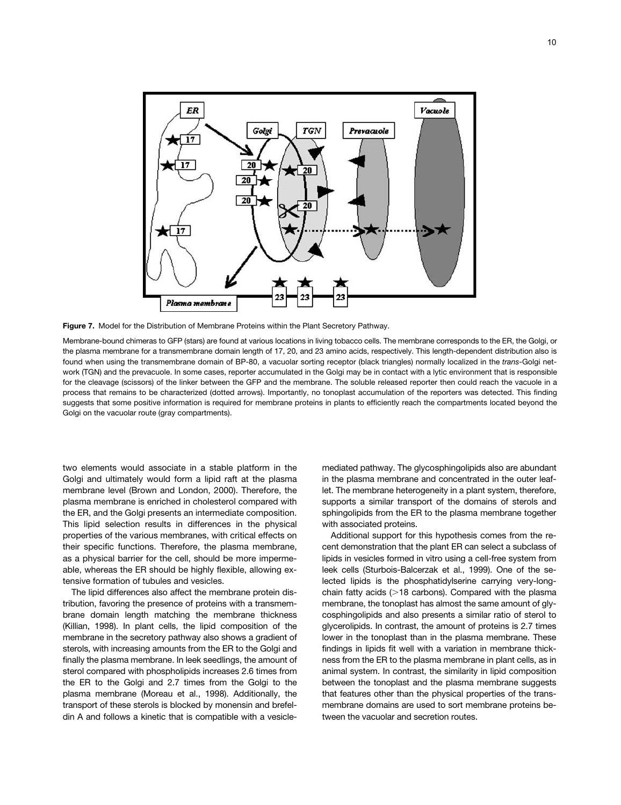



Membrane-bound chimeras to GFP (stars) are found at various locations in living tobacco cells. The membrane corresponds to the ER, the Golgi, or the plasma membrane for a transmembrane domain length of 17, 20, and 23 amino acids, respectively. This length-dependent distribution also is found when using the transmembrane domain of BP-80, a vacuolar sorting receptor (black triangles) normally localized in the *trans*-Golgi network (TGN) and the prevacuole. In some cases, reporter accumulated in the Golgi may be in contact with a lytic environment that is responsible for the cleavage (scissors) of the linker between the GFP and the membrane. The soluble released reporter then could reach the vacuole in a process that remains to be characterized (dotted arrows). Importantly, no tonoplast accumulation of the reporters was detected. This finding suggests that some positive information is required for membrane proteins in plants to efficiently reach the compartments located beyond the Golgi on the vacuolar route (gray compartments).

two elements would associate in a stable platform in the Golgi and ultimately would form a lipid raft at the plasma membrane level (Brown and London, 2000). Therefore, the plasma membrane is enriched in cholesterol compared with the ER, and the Golgi presents an intermediate composition. This lipid selection results in differences in the physical properties of the various membranes, with critical effects on their specific functions. Therefore, the plasma membrane, as a physical barrier for the cell, should be more impermeable, whereas the ER should be highly flexible, allowing extensive formation of tubules and vesicles.

The lipid differences also affect the membrane protein distribution, favoring the presence of proteins with a transmembrane domain length matching the membrane thickness (Killian, 1998). In plant cells, the lipid composition of the membrane in the secretory pathway also shows a gradient of sterols, with increasing amounts from the ER to the Golgi and finally the plasma membrane. In leek seedlings, the amount of sterol compared with phospholipids increases 2.6 times from the ER to the Golgi and 2.7 times from the Golgi to the plasma membrane (Moreau et al., 1998). Additionally, the transport of these sterols is blocked by monensin and brefeldin A and follows a kinetic that is compatible with a vesiclemediated pathway. The glycosphingolipids also are abundant in the plasma membrane and concentrated in the outer leaflet. The membrane heterogeneity in a plant system, therefore, supports a similar transport of the domains of sterols and sphingolipids from the ER to the plasma membrane together with associated proteins.

Additional support for this hypothesis comes from the recent demonstration that the plant ER can select a subclass of lipids in vesicles formed in vitro using a cell-free system from leek cells (Sturbois-Balcerzak et al., 1999). One of the selected lipids is the phosphatidylserine carrying very-longchain fatty acids  $(>18$  carbons). Compared with the plasma membrane, the tonoplast has almost the same amount of glycosphingolipids and also presents a similar ratio of sterol to glycerolipids. In contrast, the amount of proteins is 2.7 times lower in the tonoplast than in the plasma membrane. These findings in lipids fit well with a variation in membrane thickness from the ER to the plasma membrane in plant cells, as in animal system. In contrast, the similarity in lipid composition between the tonoplast and the plasma membrane suggests that features other than the physical properties of the transmembrane domains are used to sort membrane proteins between the vacuolar and secretion routes.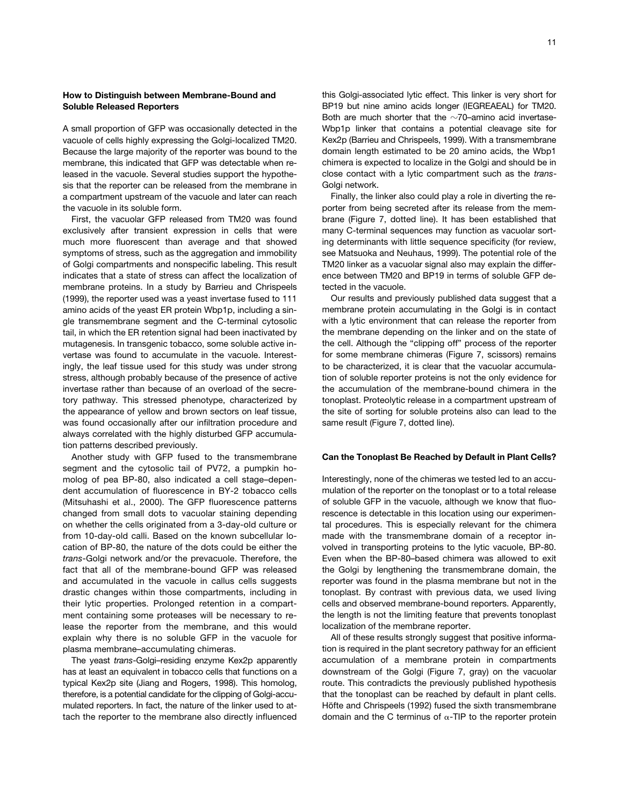## **How to Distinguish between Membrane-Bound and Soluble Released Reporters**

A small proportion of GFP was occasionally detected in the vacuole of cells highly expressing the Golgi-localized TM20. Because the large majority of the reporter was bound to the membrane, this indicated that GFP was detectable when released in the vacuole. Several studies support the hypothesis that the reporter can be released from the membrane in a compartment upstream of the vacuole and later can reach the vacuole in its soluble form.

First, the vacuolar GFP released from TM20 was found exclusively after transient expression in cells that were much more fluorescent than average and that showed symptoms of stress, such as the aggregation and immobility of Golgi compartments and nonspecific labeling. This result indicates that a state of stress can affect the localization of membrane proteins. In a study by Barrieu and Chrispeels (1999), the reporter used was a yeast invertase fused to 111 amino acids of the yeast ER protein Wbp1p, including a single transmembrane segment and the C-terminal cytosolic tail, in which the ER retention signal had been inactivated by mutagenesis. In transgenic tobacco, some soluble active invertase was found to accumulate in the vacuole. Interestingly, the leaf tissue used for this study was under strong stress, although probably because of the presence of active invertase rather than because of an overload of the secretory pathway. This stressed phenotype, characterized by the appearance of yellow and brown sectors on leaf tissue, was found occasionally after our infiltration procedure and always correlated with the highly disturbed GFP accumulation patterns described previously.

Another study with GFP fused to the transmembrane segment and the cytosolic tail of PV72, a pumpkin homolog of pea BP-80, also indicated a cell stage–dependent accumulation of fluorescence in BY-2 tobacco cells (Mitsuhashi et al., 2000). The GFP fluorescence patterns changed from small dots to vacuolar staining depending on whether the cells originated from a 3-day-old culture or from 10-day-old calli. Based on the known subcellular location of BP-80, the nature of the dots could be either the *trans*-Golgi network and/or the prevacuole. Therefore, the fact that all of the membrane-bound GFP was released and accumulated in the vacuole in callus cells suggests drastic changes within those compartments, including in their lytic properties. Prolonged retention in a compartment containing some proteases will be necessary to release the reporter from the membrane, and this would explain why there is no soluble GFP in the vacuole for plasma membrane–accumulating chimeras.

The yeast *trans*-Golgi–residing enzyme Kex2p apparently has at least an equivalent in tobacco cells that functions on a typical Kex2p site (Jiang and Rogers, 1998). This homolog, therefore, is a potential candidate for the clipping of Golgi-accumulated reporters. In fact, the nature of the linker used to attach the reporter to the membrane also directly influenced this Golgi-associated lytic effect. This linker is very short for BP19 but nine amino acids longer (IEGREAEAL) for TM20. Both are much shorter that the  $\sim$ 70-amino acid invertase-Wbp1p linker that contains a potential cleavage site for Kex2p (Barrieu and Chrispeels, 1999). With a transmembrane domain length estimated to be 20 amino acids, the Wbp1 chimera is expected to localize in the Golgi and should be in close contact with a lytic compartment such as the *trans*-Golgi network.

Finally, the linker also could play a role in diverting the reporter from being secreted after its release from the membrane (Figure 7, dotted line). It has been established that many C-terminal sequences may function as vacuolar sorting determinants with little sequence specificity (for review, see Matsuoka and Neuhaus, 1999). The potential role of the TM20 linker as a vacuolar signal also may explain the difference between TM20 and BP19 in terms of soluble GFP detected in the vacuole.

Our results and previously published data suggest that a membrane protein accumulating in the Golgi is in contact with a lytic environment that can release the reporter from the membrane depending on the linker and on the state of the cell. Although the "clipping off" process of the reporter for some membrane chimeras (Figure 7, scissors) remains to be characterized, it is clear that the vacuolar accumulation of soluble reporter proteins is not the only evidence for the accumulation of the membrane-bound chimera in the tonoplast. Proteolytic release in a compartment upstream of the site of sorting for soluble proteins also can lead to the same result (Figure 7, dotted line).

## **Can the Tonoplast Be Reached by Default in Plant Cells?**

Interestingly, none of the chimeras we tested led to an accumulation of the reporter on the tonoplast or to a total release of soluble GFP in the vacuole, although we know that fluorescence is detectable in this location using our experimental procedures. This is especially relevant for the chimera made with the transmembrane domain of a receptor involved in transporting proteins to the lytic vacuole, BP-80. Even when the BP-80–based chimera was allowed to exit the Golgi by lengthening the transmembrane domain, the reporter was found in the plasma membrane but not in the tonoplast. By contrast with previous data, we used living cells and observed membrane-bound reporters. Apparently, the length is not the limiting feature that prevents tonoplast localization of the membrane reporter.

All of these results strongly suggest that positive information is required in the plant secretory pathway for an efficient accumulation of a membrane protein in compartments downstream of the Golgi (Figure 7, gray) on the vacuolar route. This contradicts the previously published hypothesis that the tonoplast can be reached by default in plant cells. Höfte and Chrispeels (1992) fused the sixth transmembrane domain and the C terminus of  $\alpha$ -TIP to the reporter protein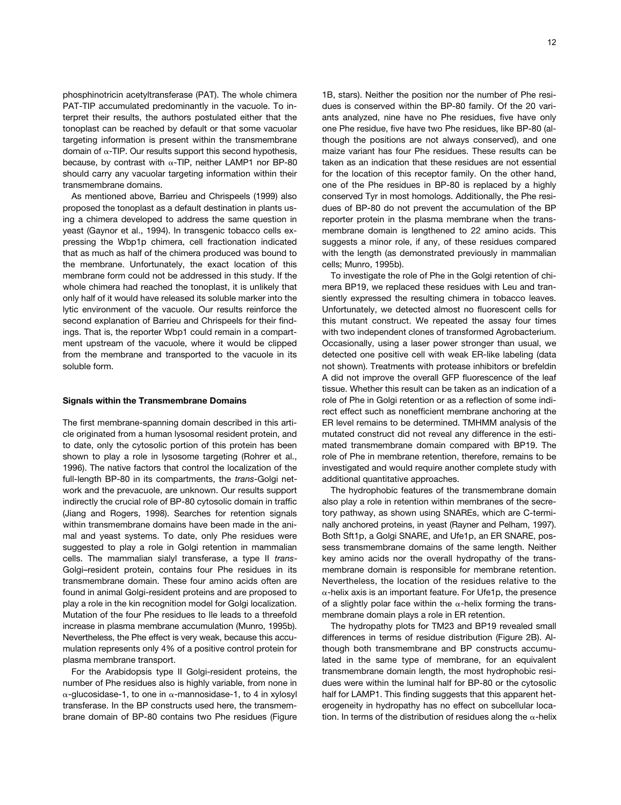phosphinotricin acetyltransferase (PAT). The whole chimera PAT-TIP accumulated predominantly in the vacuole. To interpret their results, the authors postulated either that the tonoplast can be reached by default or that some vacuolar targeting information is present within the transmembrane domain of  $\alpha$ -TIP. Our results support this second hypothesis, because, by contrast with  $\alpha$ -TIP, neither LAMP1 nor BP-80 should carry any vacuolar targeting information within their transmembrane domains.

As mentioned above, Barrieu and Chrispeels (1999) also proposed the tonoplast as a default destination in plants using a chimera developed to address the same question in yeast (Gaynor et al., 1994). In transgenic tobacco cells expressing the Wbp1p chimera, cell fractionation indicated that as much as half of the chimera produced was bound to the membrane. Unfortunately, the exact location of this membrane form could not be addressed in this study. If the whole chimera had reached the tonoplast, it is unlikely that only half of it would have released its soluble marker into the lytic environment of the vacuole. Our results reinforce the second explanation of Barrieu and Chrispeels for their findings. That is, the reporter Wbp1 could remain in a compartment upstream of the vacuole, where it would be clipped from the membrane and transported to the vacuole in its soluble form.

## **Signals within the Transmembrane Domains**

The first membrane-spanning domain described in this article originated from a human lysosomal resident protein, and to date, only the cytosolic portion of this protein has been shown to play a role in lysosome targeting (Rohrer et al., 1996). The native factors that control the localization of the full-length BP-80 in its compartments, the *trans*-Golgi network and the prevacuole, are unknown. Our results support indirectly the crucial role of BP-80 cytosolic domain in traffic (Jiang and Rogers, 1998). Searches for retention signals within transmembrane domains have been made in the animal and yeast systems. To date, only Phe residues were suggested to play a role in Golgi retention in mammalian cells. The mammalian sialyl transferase, a type II *trans*-Golgi–resident protein, contains four Phe residues in its transmembrane domain. These four amino acids often are found in animal Golgi-resident proteins and are proposed to play a role in the kin recognition model for Golgi localization. Mutation of the four Phe residues to Ile leads to a threefold increase in plasma membrane accumulation (Munro, 1995b). Nevertheless, the Phe effect is very weak, because this accumulation represents only 4% of a positive control protein for plasma membrane transport.

For the Arabidopsis type II Golgi-resident proteins, the number of Phe residues also is highly variable, from none in  $\alpha$ -glucosidase-1, to one in  $\alpha$ -mannosidase-1, to 4 in xylosyl transferase. In the BP constructs used here, the transmembrane domain of BP-80 contains two Phe residues (Figure

1B, stars). Neither the position nor the number of Phe residues is conserved within the BP-80 family. Of the 20 variants analyzed, nine have no Phe residues, five have only one Phe residue, five have two Phe residues, like BP-80 (although the positions are not always conserved), and one maize variant has four Phe residues. These results can be taken as an indication that these residues are not essential for the location of this receptor family. On the other hand, one of the Phe residues in BP-80 is replaced by a highly conserved Tyr in most homologs. Additionally, the Phe residues of BP-80 do not prevent the accumulation of the BP reporter protein in the plasma membrane when the transmembrane domain is lengthened to 22 amino acids. This suggests a minor role, if any, of these residues compared with the length (as demonstrated previously in mammalian cells; Munro, 1995b).

To investigate the role of Phe in the Golgi retention of chimera BP19, we replaced these residues with Leu and transiently expressed the resulting chimera in tobacco leaves. Unfortunately, we detected almost no fluorescent cells for this mutant construct. We repeated the assay four times with two independent clones of transformed Agrobacterium. Occasionally, using a laser power stronger than usual, we detected one positive cell with weak ER-like labeling (data not shown). Treatments with protease inhibitors or brefeldin A did not improve the overall GFP fluorescence of the leaf tissue. Whether this result can be taken as an indication of a role of Phe in Golgi retention or as a reflection of some indirect effect such as nonefficient membrane anchoring at the ER level remains to be determined. TMHMM analysis of the mutated construct did not reveal any difference in the estimated transmembrane domain compared with BP19. The role of Phe in membrane retention, therefore, remains to be investigated and would require another complete study with additional quantitative approaches.

The hydrophobic features of the transmembrane domain also play a role in retention within membranes of the secretory pathway, as shown using SNAREs, which are C-terminally anchored proteins, in yeast (Rayner and Pelham, 1997). Both Sft1p, a Golgi SNARE, and Ufe1p, an ER SNARE, possess transmembrane domains of the same length. Neither key amino acids nor the overall hydropathy of the transmembrane domain is responsible for membrane retention. Nevertheless, the location of the residues relative to the  $\alpha$ -helix axis is an important feature. For Ufe1p, the presence of a slightly polar face within the  $\alpha$ -helix forming the transmembrane domain plays a role in ER retention.

The hydropathy plots for TM23 and BP19 revealed small differences in terms of residue distribution (Figure 2B). Although both transmembrane and BP constructs accumulated in the same type of membrane, for an equivalent transmembrane domain length, the most hydrophobic residues were within the luminal half for BP-80 or the cytosolic half for LAMP1. This finding suggests that this apparent heterogeneity in hydropathy has no effect on subcellular location. In terms of the distribution of residues along the  $\alpha$ -helix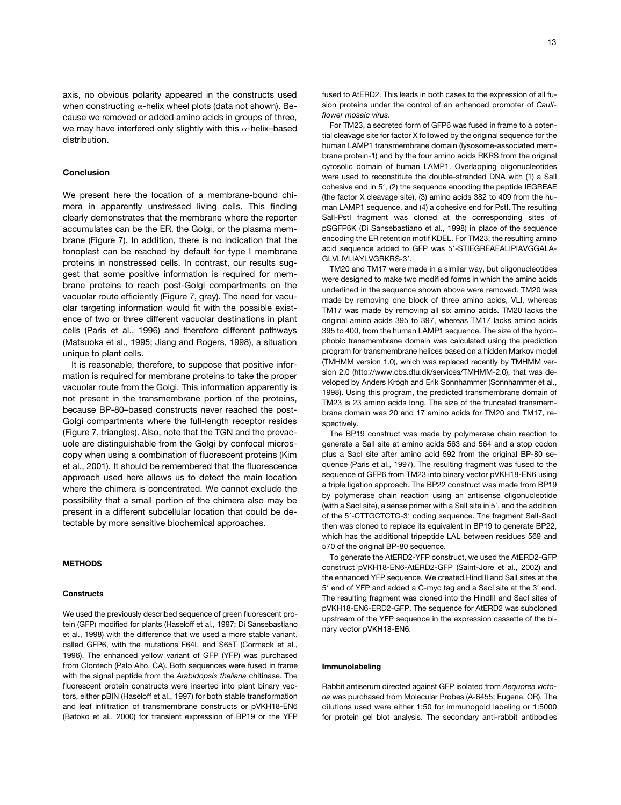axis, no obvious polarity appeared in the constructs used when constructing  $\alpha$ -helix wheel plots (data not shown). Because we removed or added amino acids in groups of three, we may have interfered only slightly with this  $\alpha$ -helix-based distribution.

## **Conclusion**

We present here the location of a membrane-bound chimera in apparently unstressed living cells. This finding clearly demonstrates that the membrane where the reporter accumulates can be the ER, the Golgi, or the plasma membrane (Figure 7). In addition, there is no indication that the tonoplast can be reached by default for type I membrane proteins in nonstressed cells. In contrast, our results suggest that some positive information is required for membrane proteins to reach post-Golgi compartments on the vacuolar route efficiently (Figure 7, gray). The need for vacuolar targeting information would fit with the possible existence of two or three different vacuolar destinations in plant cells (Paris et al., 1996) and therefore different pathways (Matsuoka et al., 1995; Jiang and Rogers, 1998), a situation unique to plant cells.

It is reasonable, therefore, to suppose that positive information is required for membrane proteins to take the proper vacuolar route from the Golgi. This information apparently is not present in the transmembrane portion of the proteins, because BP-80–based constructs never reached the post-Golgi compartments where the full-length receptor resides (Figure 7, triangles). Also, note that the TGN and the prevacuole are distinguishable from the Golgi by confocal microscopy when using a combination of fluorescent proteins (Kim et al., 2001). It should be remembered that the fluorescence approach used here allows us to detect the main location where the chimera is concentrated. We cannot exclude the possibility that a small portion of the chimera also may be present in a different subcellular location that could be detectable by more sensitive biochemical approaches.

## **METHODS**

#### **Constructs**

We used the previously described sequence of green fluorescent protein (GFP) modified for plants (Haseloff et al., 1997; Di Sansebastiano et al., 1998) with the difference that we used a more stable variant, called GFP6, with the mutations F64L and S65T (Cormack et al., 1996). The enhanced yellow variant of GFP (YFP) was purchased from Clontech (Palo Alto, CA). Both sequences were fused in frame with the signal peptide from the *Arabidopsis thaliana* chitinase. The fluorescent protein constructs were inserted into plant binary vectors, either pBIN (Haseloff et al., 1997) for both stable transformation and leaf infiltration of transmembrane constructs or pVKH18-EN6 (Batoko et al., 2000) for transient expression of BP19 or the YFP fused to AtERD2. This leads in both cases to the expression of all fusion proteins under the control of an enhanced promoter of *Cauliflower mosaic virus*.

For TM23, a secreted form of GFP6 was fused in frame to a potential cleavage site for factor X followed by the original sequence for the human LAMP1 transmembrane domain (lysosome-associated membrane protein-1) and by the four amino acids RKRS from the original cytosolic domain of human LAMP1. Overlapping oligonucleotides were used to reconstitute the double-stranded DNA with (1) a SalI cohesive end in 5', (2) the sequence encoding the peptide IEGREAE (the factor X cleavage site), (3) amino acids 382 to 409 from the human LAMP1 sequence, and (4) a cohesive end for PstI. The resulting SalI-PstI fragment was cloned at the corresponding sites of pSGFP6K (Di Sansebastiano et al., 1998) in place of the sequence encoding the ER retention motif KDEL. For TM23, the resulting amino acid sequence added to GFP was 5'-STIEGREAEALIPIAVGGALA-GLVLIVLIAYLVGRKRS-3'.

TM20 and TM17 were made in a similar way, but oligonucleotides were designed to make two modified forms in which the amino acids underlined in the sequence shown above were removed. TM20 was made by removing one block of three amino acids, VLI, whereas TM17 was made by removing all six amino acids. TM20 lacks the original amino acids 395 to 397, whereas TM17 lacks amino acids 395 to 400, from the human LAMP1 sequence. The size of the hydrophobic transmembrane domain was calculated using the prediction program for transmembrane helices based on a hidden Markov model (TMHMM version 1.0), which was replaced recently by TMHMM version 2.0 (http://www.cbs.dtu.dk/services/TMHMM-2.0), that was developed by Anders Krogh and Erik Sonnhammer (Sonnhammer et al., 1998). Using this program, the predicted transmembrane domain of TM23 is 23 amino acids long. The size of the truncated transmembrane domain was 20 and 17 amino acids for TM20 and TM17, respectively.

The BP19 construct was made by polymerase chain reaction to generate a SalI site at amino acids 563 and 564 and a stop codon plus a SacI site after amino acid 592 from the original BP-80 sequence (Paris et al., 1997). The resulting fragment was fused to the sequence of GFP6 from TM23 into binary vector pVKH18-EN6 using a triple ligation approach. The BP22 construct was made from BP19 by polymerase chain reaction using an antisense oligonucleotide (with a SacI site), a sense primer with a Sall site in  $5'$ , and the addition of the 5'-CTTGCTCTC-3' coding sequence. The fragment Sall-Sacl then was cloned to replace its equivalent in BP19 to generate BP22, which has the additional tripeptide LAL between residues 569 and 570 of the original BP-80 sequence.

To generate the AtERD2-YFP construct, we used the AtERD2-GFP construct pVKH18-EN6-AtERD2-GFP (Saint-Jore et al., 2002) and the enhanced YFP sequence. We created HindIII and SalI sites at the 5' end of YFP and added a C-myc tag and a SacI site at the 3' end. The resulting fragment was cloned into the HindIII and SacI sites of pVKH18-EN6-ERD2-GFP. The sequence for AtERD2 was subcloned upstream of the YFP sequence in the expression cassette of the binary vector pVKH18-EN6.

#### **Immunolabeling**

Rabbit antiserum directed against GFP isolated from *Aequorea victoria* was purchased from Molecular Probes (A-6455; Eugene, OR). The dilutions used were either 1:50 for immunogold labeling or 1:5000 for protein gel blot analysis. The secondary anti-rabbit antibodies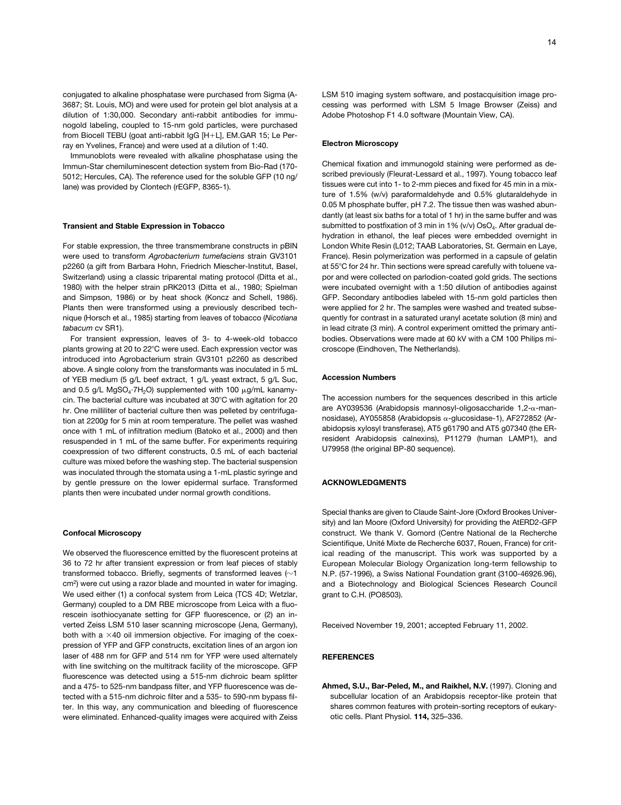conjugated to alkaline phosphatase were purchased from Sigma (A-3687; St. Louis, MO) and were used for protein gel blot analysis at a dilution of 1:30,000. Secondary anti-rabbit antibodies for immunogold labeling, coupled to 15-nm gold particles, were purchased from Biocell TEBU (goat anti-rabbit IgG [H+L], EM.GAR 15; Le Perray en Yvelines, France) and were used at a dilution of 1:40.

Immunoblots were revealed with alkaline phosphatase using the Immun-Star chemiluminescent detection system from Bio-Rad (170- 5012; Hercules, CA). The reference used for the soluble GFP (10 ng/ lane) was provided by Clontech (rEGFP, 8365-1).

#### **Transient and Stable Expression in Tobacco**

For stable expression, the three transmembrane constructs in pBIN were used to transform *Agrobacterium tumefaciens* strain GV3101 p2260 (a gift from Barbara Hohn, Friedrich Miescher-Institut, Basel, Switzerland) using a classic triparental mating protocol (Ditta et al., 1980) with the helper strain pRK2013 (Ditta et al., 1980; Spielman and Simpson, 1986) or by heat shock (Koncz and Schell, 1986). Plants then were transformed using a previously described technique (Horsch et al., 1985) starting from leaves of tobacco (*Nicotiana tabacum* cv SR1).

For transient expression, leaves of 3- to 4-week-old tobacco plants growing at 20 to 22°C were used. Each expression vector was introduced into Agrobacterium strain GV3101 p2260 as described above. A single colony from the transformants was inoculated in 5 mL of YEB medium (5 g/L beef extract, 1 g/L yeast extract, 5 g/L Suc, and 0.5 g/L MgSO<sub>4</sub>·7H<sub>2</sub>O) supplemented with 100  $\mu$ g/mL kanamycin. The bacterial culture was incubated at 30°C with agitation for 20 hr. One milliliter of bacterial culture then was pelleted by centrifugation at 2200*g* for 5 min at room temperature. The pellet was washed once with 1 mL of infiltration medium (Batoko et al., 2000) and then resuspended in 1 mL of the same buffer. For experiments requiring coexpression of two different constructs, 0.5 mL of each bacterial culture was mixed before the washing step. The bacterial suspension was inoculated through the stomata using a 1-mL plastic syringe and by gentle pressure on the lower epidermal surface. Transformed plants then were incubated under normal growth conditions.

#### **Confocal Microscopy**

We observed the fluorescence emitted by the fluorescent proteins at 36 to 72 hr after transient expression or from leaf pieces of stably transformed tobacco. Briefly, segments of transformed leaves ( $\sim$ 1 cm2) were cut using a razor blade and mounted in water for imaging. We used either (1) a confocal system from Leica (TCS 4D; Wetzlar, Germany) coupled to a DM RBE microscope from Leica with a fluorescein isothiocyanate setting for GFP fluorescence, or (2) an inverted Zeiss LSM 510 laser scanning microscope (Jena, Germany), both with a  $\times$ 40 oil immersion objective. For imaging of the coexpression of YFP and GFP constructs, excitation lines of an argon ion laser of 488 nm for GFP and 514 nm for YFP were used alternately with line switching on the multitrack facility of the microscope. GFP fluorescence was detected using a 515-nm dichroic beam splitter and a 475- to 525-nm bandpass filter, and YFP fluorescence was detected with a 515-nm dichroic filter and a 535- to 590-nm bypass filter. In this way, any communication and bleeding of fluorescence were eliminated. Enhanced-quality images were acquired with Zeiss

LSM 510 imaging system software, and postacquisition image processing was performed with LSM 5 Image Browser (Zeiss) and Adobe Photoshop F1 4.0 software (Mountain View, CA).

#### **Electron Microscopy**

Chemical fixation and immunogold staining were performed as described previously (Fleurat-Lessard et al., 1997). Young tobacco leaf tissues were cut into 1- to 2-mm pieces and fixed for 45 min in a mixture of 1.5% (w/v) paraformaldehyde and 0.5% glutaraldehyde in 0.05 M phosphate buffer, pH 7.2. The tissue then was washed abundantly (at least six baths for a total of 1 hr) in the same buffer and was submitted to postfixation of 3 min in 1% ( $v/v$ ) OsO<sub>4</sub>. After gradual dehydration in ethanol, the leaf pieces were embedded overnight in London White Resin (L012; TAAB Laboratories, St. Germain en Laye, France). Resin polymerization was performed in a capsule of gelatin at 55°C for 24 hr. Thin sections were spread carefully with toluene vapor and were collected on parlodion-coated gold grids. The sections were incubated overnight with a 1:50 dilution of antibodies against GFP. Secondary antibodies labeled with 15-nm gold particles then were applied for 2 hr. The samples were washed and treated subsequently for contrast in a saturated uranyl acetate solution (8 min) and in lead citrate (3 min). A control experiment omitted the primary antibodies. Observations were made at 60 kV with a CM 100 Philips microscope (Eindhoven, The Netherlands).

#### **Accession Numbers**

The accession numbers for the sequences described in this article are AY039536 (Arabidopsis mannosyl-oligosaccharide 1,2-α-mannosidase), AY055858 (Arabidopsis  $\alpha$ -glucosidase-1), AF272852 (Arabidopsis xylosyl transferase), AT5 g61790 and AT5 g07340 (the ERresident Arabidopsis calnexins), P11279 (human LAMP1), and U79958 (the original BP-80 sequence).

#### **ACKNOWLEDGMENTS**

Special thanks are given to Claude Saint-Jore (Oxford Brookes University) and Ian Moore (Oxford University) for providing the AtERD2-GFP construct. We thank V. Gomord (Centre National de la Recherche Scientifique, Unité Mixte de Recherche 6037, Rouen, France) for critical reading of the manuscript. This work was supported by a European Molecular Biology Organization long-term fellowship to N.P. (57-1996), a Swiss National Foundation grant (3100-46926.96), and a Biotechnology and Biological Sciences Research Council grant to C.H. (PO8503).

Received November 19, 2001; accepted February 11, 2002.

### **REFERENCES**

**Ahmed, S.U., Bar-Peled, M., and Raikhel, N.V.** (1997). Cloning and subcellular location of an Arabidopsis receptor-like protein that shares common features with protein-sorting receptors of eukaryotic cells. Plant Physiol. **114,** 325–336.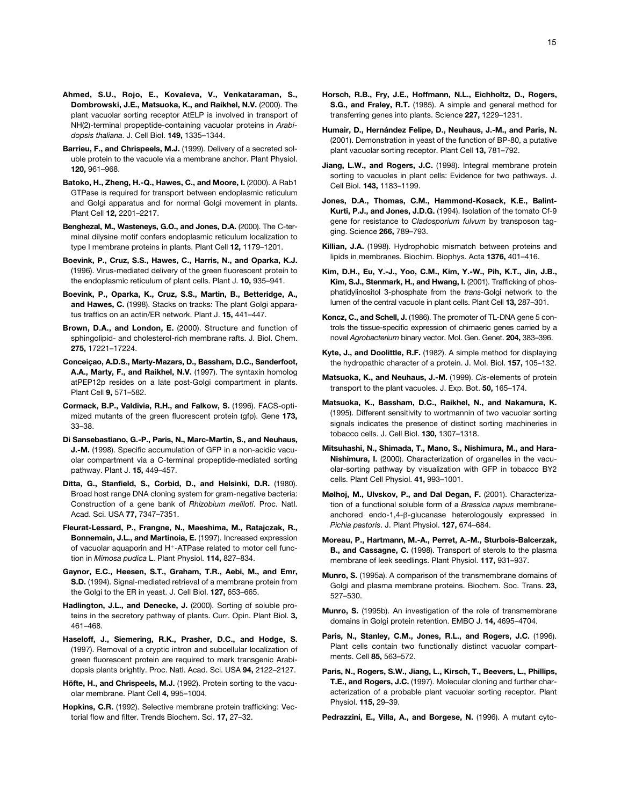- **Ahmed, S.U., Rojo, E., Kovaleva, V., Venkataraman, S., Dombrowski, J.E., Matsuoka, K., and Raikhel, N.V.** (2000). The plant vacuolar sorting receptor AtELP is involved in transport of NH(2)-terminal propeptide-containing vacuolar proteins in *Arabidopsis thaliana*. J. Cell Biol. **149,** 1335–1344.
- **Barrieu, F., and Chrispeels, M.J.** (1999). Delivery of a secreted soluble protein to the vacuole via a membrane anchor. Plant Physiol. **120,** 961–968.
- **Batoko, H., Zheng, H.-Q., Hawes, C., and Moore, I.** (2000). A Rab1 GTPase is required for transport between endoplasmic reticulum and Golgi apparatus and for normal Golgi movement in plants. Plant Cell **12,** 2201–2217.
- **Benghezal, M., Wasteneys, G.O., and Jones, D.A.** (2000). The C-terminal dilysine motif confers endoplasmic reticulum localization to type I membrane proteins in plants. Plant Cell **12,** 1179–1201.
- **Boevink, P., Cruz, S.S., Hawes, C., Harris, N., and Oparka, K.J.** (1996). Virus-mediated delivery of the green fluorescent protein to the endoplasmic reticulum of plant cells. Plant J. **10,** 935–941.
- **Boevink, P., Oparka, K., Cruz, S.S., Martin, B., Betteridge, A., and Hawes, C.** (1998). Stacks on tracks: The plant Golgi apparatus traffics on an actin/ER network. Plant J. **15,** 441–447.
- **Brown, D.A., and London, E.** (2000). Structure and function of sphingolipid- and cholesterol-rich membrane rafts. J. Biol. Chem. **275,** 17221–17224.
- **Conceiçao, A.D.S., Marty-Mazars, D., Bassham, D.C., Sanderfoot, A.A., Marty, F., and Raikhel, N.V.** (1997). The syntaxin homolog atPEP12p resides on a late post-Golgi compartment in plants. Plant Cell **9,** 571–582.
- **Cormack, B.P., Valdivia, R.H., and Falkow, S.** (1996). FACS-optimized mutants of the green fluorescent protein (gfp). Gene **173,** 33–38.
- **Di Sansebastiano, G.-P., Paris, N., Marc-Martin, S., and Neuhaus, J.-M.** (1998). Specific accumulation of GFP in a non-acidic vacuolar compartment via a C-terminal propeptide-mediated sorting pathway. Plant J. **15,** 449–457.
- **Ditta, G., Stanfield, S., Corbid, D., and Helsinki, D.R.** (1980). Broad host range DNA cloning system for gram-negative bacteria: Construction of a gene bank of *Rhizobium meliloti*. Proc. Natl. Acad. Sci. USA **77,** 7347–7351.
- **Fleurat-Lessard, P., Frangne, N., Maeshima, M., Ratajczak, R., Bonnemain, J.L., and Martinoia, E.** (1997). Increased expression of vacuolar aquaporin and H<sup>+</sup>-ATPase related to motor cell function in *Mimosa pudica* L. Plant Physiol. **114,** 827–834.
- **Gaynor, E.C., Heesen, S.T., Graham, T.R., Aebi, M., and Emr, S.D.** (1994). Signal-mediated retrieval of a membrane protein from the Golgi to the ER in yeast. J. Cell Biol. **127,** 653–665.
- **Hadlington, J.L., and Denecke, J.** (2000). Sorting of soluble proteins in the secretory pathway of plants. Curr. Opin. Plant Biol. **3,** 461–468.
- **Haseloff, J., Siemering, R.K., Prasher, D.C., and Hodge, S.** (1997). Removal of a cryptic intron and subcellular localization of green fluorescent protein are required to mark transgenic Arabidopsis plants brightly. Proc. Natl. Acad. Sci. USA **94,** 2122–2127.
- **Höfte, H., and Chrispeels, M.J.** (1992). Protein sorting to the vacuolar membrane. Plant Cell **4,** 995–1004.
- **Hopkins, C.R.** (1992). Selective membrane protein trafficking: Vectorial flow and filter. Trends Biochem. Sci. **17,** 27–32.
- **Horsch, R.B., Fry, J.E., Hoffmann, N.L., Eichholtz, D., Rogers, S.G., and Fraley, R.T.** (1985). A simple and general method for transferring genes into plants. Science **227,** 1229–1231.
- **Humair, D., Hernández Felipe, D., Neuhaus, J.-M., and Paris, N.** (2001). Demonstration in yeast of the function of BP-80, a putative plant vacuolar sorting receptor. Plant Cell **13,** 781–792.
- **Jiang, L.W., and Rogers, J.C.** (1998). Integral membrane protein sorting to vacuoles in plant cells: Evidence for two pathways. J. Cell Biol. **143,** 1183–1199.
- **Jones, D.A., Thomas, C.M., Hammond-Kosack, K.E., Balint-Kurti, P.J., and Jones, J.D.G.** (1994). Isolation of the tomato Cf-9 gene for resistance to *Cladosporium fulvum* by transposon tagging. Science **266,** 789–793.
- **Killian, J.A.** (1998). Hydrophobic mismatch between proteins and lipids in membranes. Biochim. Biophys. Acta **1376,** 401–416.
- **Kim, D.H., Eu, Y.-J., Yoo, C.M., Kim, Y.-W., Pih, K.T., Jin, J.B., Kim, S.J., Stenmark, H., and Hwang, I.** (2001). Trafficking of phosphatidylinositol 3-phosphate from the *trans*-Golgi network to the lumen of the central vacuole in plant cells. Plant Cell **13,** 287–301.
- **Koncz, C., and Schell, J.** (1986). The promoter of TL-DNA gene 5 controls the tissue-specific expression of chimaeric genes carried by a novel *Agrobacterium* binary vector. Mol. Gen. Genet. **204,** 383–396.
- **Kyte, J., and Doolittle, R.F.** (1982). A simple method for displaying the hydropathic character of a protein. J. Mol. Biol. **157,** 105–132.
- **Matsuoka, K., and Neuhaus, J.-M.** (1999). *Cis*-elements of protein transport to the plant vacuoles. J. Exp. Bot. **50,** 165–174.
- **Matsuoka, K., Bassham, D.C., Raikhel, N., and Nakamura, K.** (1995). Different sensitivity to wortmannin of two vacuolar sorting signals indicates the presence of distinct sorting machineries in tobacco cells. J. Cell Biol. **130,** 1307–1318.
- **Mitsuhashi, N., Shimada, T., Mano, S., Nishimura, M., and Hara-Nishimura, I.** (2000). Characterization of organelles in the vacuolar-sorting pathway by visualization with GFP in tobacco BY2 cells. Plant Cell Physiol. **41,** 993–1001.
- **Mølhoj, M., Ulvskov, P., and Dal Degan, F.** (2001). Characterization of a functional soluble form of a *Brassica napus* membraneanchored endo-1,4-ß-glucanase heterologously expressed in *Pichia pastoris*. J. Plant Physiol. **127,** 674–684.
- **Moreau, P., Hartmann, M.-A., Perret, A.-M., Sturbois-Balcerzak, B., and Cassagne, C.** (1998). Transport of sterols to the plasma membrane of leek seedlings. Plant Physiol. **117,** 931–937.
- **Munro, S.** (1995a). A comparison of the transmembrane domains of Golgi and plasma membrane proteins. Biochem. Soc. Trans. **23,** 527–530.
- **Munro, S.** (1995b). An investigation of the role of transmembrane domains in Golgi protein retention. EMBO J. **14,** 4695–4704.
- **Paris, N., Stanley, C.M., Jones, R.L., and Rogers, J.C.** (1996). Plant cells contain two functionally distinct vacuolar compartments. Cell **85,** 563–572.
- **Paris, N., Rogers, S.W., Jiang, L., Kirsch, T., Beevers, L., Phillips, T.E., and Rogers, J.C.** (1997). Molecular cloning and further characterization of a probable plant vacuolar sorting receptor. Plant Physiol. **115,** 29–39.
- **Pedrazzini, E., Villa, A., and Borgese, N.** (1996). A mutant cyto-